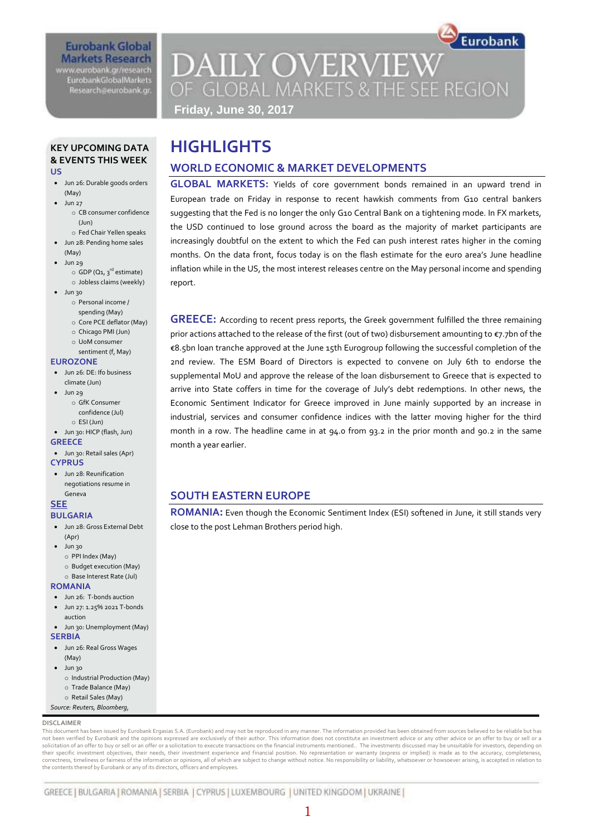### **Eurobank Global Markets Research** www.eurobank.gr/research

**EurobankGlobalMarkets** Research@eurobank.gr

## Eurobank **DAILY OVERVIEW** OF GLOBAL MARKETS & THE SEE REGION

**Friday, June 30, 2017**

### **KEY UPCOMING DATA & EVENTS THIS WEEK US**

- Jun 26: Durable goods orders (May)
	- Jun 27 o CB consumer confidence (Jun)
		- o Fed Chair Yellen speaks
- Jun 28: Pending home sales (May)
- Jun 29
- $\circ$  GDP (Q1, 3<sup>rd</sup> estimate) o Jobless claims (weekly)
- Jun 30
	- o Personal income /
	- spending (May)
	- o Core PCE deflator (May) o Chicago PMI (Jun)
	- o UoM consumer
	- sentiment (f, May)

### **EUROZONE**

- Jun 26: DE: Ifo business climate (Jun)
- Jun 29
	- o GfK Consumer confidence (Jul)
- $\alpha$  ESI (Jun) Jun 30: HICP (flash, Jun)

### **GREECE**

- Jun 30: Retail sales (Apr) **CYPRUS**
- Jun 28: Reunification
- negotiations resume in Geneva

#### **SEE BULGARIA**

- Jun 28: Gross External Debt (Apr)
- Jun 30
- o PPI Index (May)
- o Budget execution (May)
- o Base Interest Rate (Jul)
- **ROMANIA**
- Jun 26: T-bonds auction
- Jun 27: 1.25% 2021 T-bonds auction Jun 30: Unemployment (May)
- **SERBIA**
- $\bullet$  Jun 26: Real Gross Wages
- (May)
- Jun 30 o Industrial Production (May)
- o Trade Balance (May)
- o Retail Sales (May)
- *Source: Reuters, Bloomberg,*

### **DISCLAIMER**

This document has been issued by Eurobank Ergasias S.A. (Eurobank) and may not be reproduced in any manner. The information provided has been obtained from sources believed to be reliable but has not been verified by Eurobank and the opinions expressed are exclusively of their author. This information does not constitute an investment advice or any other advice or an offer to buy or sell or a solicitation of an offer to buy or sell or an offer or a solicitation to execute transactions on the financial instruments mentioned.. The investments discussed may be unsuitable for investors, depending on<br>their specific correctness, timeliness or fairness of the information or opinions, all of which are subject to change without notice. No responsibility or liability, whatsoever or howsoever arising, is accepted in relation to the contents thereof by Eurobank or any of its directors, officers and employees.

1

### **GREECE:** According to recent press reports, the Greek government fulfilled the three remaining prior actions attached to the release of the first (out of two) disbursement amounting to €7.7bn of the €8.5bn loan tranche approved at the June 15th Eurogroup following the successful completion of the 2nd review. The ESM Board of Directors is expected to convene on July 6th to endorse the supplemental MoU and approve the release of the loan disbursement to Greece that is expected to arrive into State coffers in time for the coverage of July's debt redemptions. In other news, the Economic Sentiment Indicator for Greece improved in June mainly supported by an increase in industrial, services and consumer confidence indices with the latter moving higher for the third month in a row. The headline came in at 94.0 from 93.2 in the prior month and 90.2 in the same month a year earlier.

### **SOUTH EASTERN EUROPE**

**ROMANIA:** Even though the Economic Sentiment Index (ESI) softened in June, it still stands very close to the post Lehman Brothers period high.

# **HIGHLIGHTS**

### **WORLD ECONOMIC & MARKET DEVELOPMENTS**

**GLOBAL MARKETS:** Yields of core government bonds remained in an upward trend in European trade on Friday in response to recent hawkish comments from G10 central bankers suggesting that the Fed is no longer the only G10 Central Bank on a tightening mode. In FX markets, the USD continued to lose ground across the board as the majority of market participants are increasingly doubtful on the extent to which the Fed can push interest rates higher in the coming months. On the data front, focus today is on the flash estimate for the euro area's June headline inflation while in the US, the most interest releases centre on the May personal income and spending report.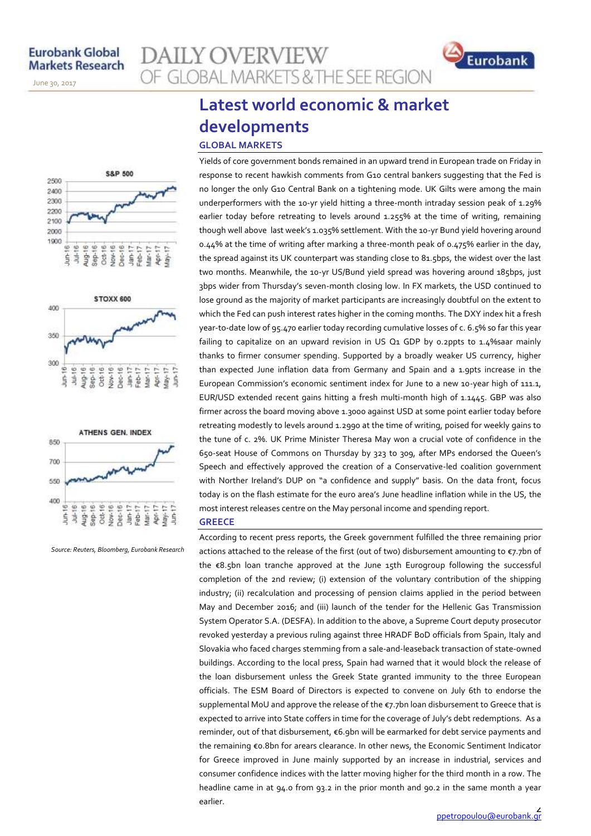November 14, 2013

June 30, 2017







*Source: Reuters, Bloomberg, Eurobank Research*

## **AILY OVERVIEW** OF GLOBAL MARKETS & THE SEE REGION

### **Latest world economic & market developments GLOBAL MARKETS**

Yields of core government bonds remained in an upward trend in European trade on Friday in response to recent hawkish comments from G10 central bankers suggesting that the Fed is no longer the only G10 Central Bank on a tightening mode. UK Gilts were among the main underperformers with the 10-yr yield hitting a three-month intraday session peak of 1.29% earlier today before retreating to levels around 1.255% at the time of writing, remaining though well above last week's 1.035% settlement. With the 10-yr Bund yield hovering around 0.44% at the time of writing after marking a three-month peak of 0.475% earlier in the day, the spread against its UK counterpart was standing close to 81.5bps, the widest over the last two months. Meanwhile, the 10-yr US/Bund yield spread was hovering around 185bps, just 3bps wider from Thursday's seven-month closing low. In FX markets, the USD continued to lose ground as the majority of market participants are increasingly doubtful on the extent to which the Fed can push interest rates higher in the coming months. The DXY index hit a fresh year-to-date low of 95.470 earlier today recording cumulative losses of c. 6.5% so far this year failing to capitalize on an upward revision in US Q1 GDP by 0.2ppts to 1.4%saar mainly thanks to firmer consumer spending. Supported by a broadly weaker US currency, higher than expected June inflation data from Germany and Spain and a 1.9pts increase in the European Commission's economic sentiment index for June to a new 10-year high of 111.1, EUR/USD extended recent gains hitting a fresh multi-month high of 1.1445. GBP was also firmer across the board moving above 1.3000 against USD at some point earlier today before retreating modestly to levels around 1.2990 at the time of writing, poised for weekly gains to the tune of c. 2%. UK Prime Minister Theresa May won a crucial vote of confidence in the 650-seat House of Commons on Thursday by 323 to 309, after MPs endorsed the Queen's Speech and effectively approved the creation of a Conservative-led coalition government with Norther Ireland's DUP on "a confidence and supply" basis. On the data front, focus today is on the flash estimate for the euro area's June headline inflation while in the US, the most interest releases centre on the May personal income and spending report. **GREECE**

According to recent press reports, the Greek government fulfilled the three remaining prior actions attached to the release of the first (out of two) disbursement amounting to €7.7bn of the €8.5bn loan tranche approved at the June 15th Eurogroup following the successful completion of the 2nd review; (i) extension of the voluntary contribution of the shipping industry; (ii) recalculation and processing of pension claims applied in the period between May and December 2016; and (iii) launch of the tender for the Hellenic Gas Transmission System Operator S.A. (DESFA). In addition to the above, a Supreme Court deputy prosecutor revoked yesterday a previous ruling against three HRADF BoD officials from Spain, Italy and Slovakia who faced charges stemming from a sale-and-leaseback transaction of state-owned buildings. According to the local press, Spain had warned that it would block the release of the loan disbursement unless the Greek State granted immunity to the three European officials. The ESM Board of Directors is expected to convene on July 6th to endorse the supplemental MoU and approve the release of the €7.7bn loan disbursement to Greece that is expected to arrive into State coffers in time for the coverage of July's debt redemptions. As a reminder, out of that disbursement, €6.9bn will be earmarked for debt service payments and the remaining €0.8bn for arears clearance. In other news, the Economic Sentiment Indicator for Greece improved in June mainly supported by an increase in industrial, services and consumer confidence indices with the latter moving higher for the third month in a row. The headline came in at 94.0 from 93.2 in the prior month and 90.2 in the same month a year earlier.

Eurobank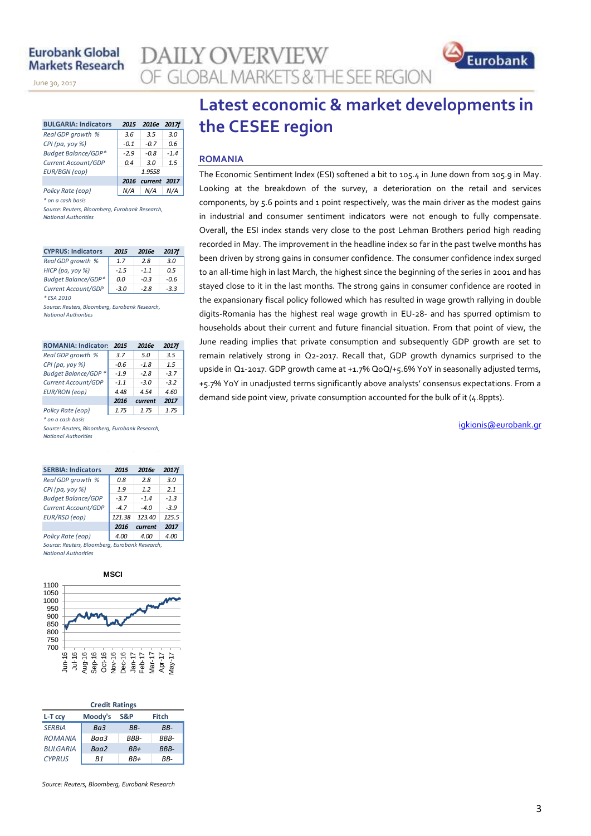November 14, 2013

June 30, 2017

| <b>BULGARIA: Indicators</b> | 2015   | 2016e   | <b>2017f</b> |
|-----------------------------|--------|---------|--------------|
| Real GDP growth %           | 3.6    | 3.5     | 3.0          |
| $CPI$ (pa, yoy %)           | $-0.1$ | $-0.7$  | 0.6          |
| <b>Budget Balance/GDP*</b>  | $-2.9$ | $-0.8$  | $-14$        |
| Current Account/GDP         | 0.4    | 30      | 1.5          |
| <b>EUR/BGN</b> (eop)        |        | 1.9558  |              |
|                             | 2016   | current | - 2017       |
| Policy Rate (eop)           |        | N/A     |              |

*\* on a cash basis*

*Source: Reuters, Bloomberg, Eurobank Research, National Authorities*

| <b>CYPRUS: Indicators</b>  | 2015   | 2016e  | <b>2017f</b> |
|----------------------------|--------|--------|--------------|
| Real GDP growth %          | 17     | 28     | 3.0          |
| НІСР (ра, уоу %)           | $-1.5$ | $-11$  | 0.5          |
| <b>Budget Balance/GDP*</b> | 0.0    | $-0.3$ | -0.6         |
| Current Account/GDP        | $-3.0$ | $-2.8$ | $-3.3$       |
| * ESA 2010                 |        |        |              |

*Source: Reuters, Bloomberg, Eurobank Research, National Authorities*

| $\sim$ |  |  | the control of the con- |
|--------|--|--|-------------------------|
|        |  |  |                         |

| <b>ROMANIA: Indicators</b>  | 2015   | 2016e   | <b>2017f</b> |
|-----------------------------|--------|---------|--------------|
| Real GDP growth %           | 3.7    | 5.0     | 3.5          |
| CPI (pa, yoy %)             | $-0.6$ | $-1.8$  | 1.5          |
| <b>Budget Balance/GDP *</b> | $-1.9$ | $-28$   | $-3.7$       |
| Current Account/GDP         | $-1.1$ | $-3.0$  | $-3.2$       |
| <b>EUR/RON (eop)</b>        | 4.48   | 4.54    | 4.60         |
|                             | 2016   | current | 2017         |
| Policy Rate (eop)           | 1.75   | 1.75    | 1.75         |
| * on a cash basis           |        |         |              |

*Source: Reuters, Bloomberg, Eurobank Research, National Authorities*

| <b>SERBIA: Indicators</b>                    | 2015   | 2016e   | 2017f  |
|----------------------------------------------|--------|---------|--------|
| Real GDP growth %                            | 0.8    | 2.8     | 3.0    |
| $CPI$ (pa, yoy %)                            | 1.9    | 12      | 2.1    |
| <b>Budget Balance/GDP</b>                    | $-3.7$ | $-14$   | $-1.3$ |
| Current Account/GDP                          | $-4.7$ | $-4.0$  | $-3.9$ |
| EUR/RSD (eop)                                | 121.38 | 123.40  | 125.5  |
|                                              | 2016   | current | 2017   |
| Policy Rate (eop)                            | 4.00   | 4.00    | 4.00   |
| Course Boutors, Bloomborn, Furchank Bosonich |        |         |        |

*Source: Reuters, Bloomberg, Eurobank Research, National Authorities*



|                 | <b>Credit Ratings</b> |       |             |
|-----------------|-----------------------|-------|-------------|
| L-T ccv         | Moody's               | S&P   | Fitch       |
| <b>SERBIA</b>   | Ba3                   | RR-   | RR-         |
| <b>ROMANIA</b>  | Baa3                  | RRR-  | RRR-        |
| <b>BULGARIA</b> | Baa2                  | $BB+$ | <b>BBB-</b> |
| <b>CYPRUS</b>   | R1                    | $BB+$ | RR-         |

*Source: Reuters, Bloomberg, Eurobank Research*

### **Latest economic & market developments in the CESEE region**

### **ROMANIA**

**Y OVERVIEW** 

**GLOBAL MARKETS & THE SEE REGION** 

The Economic Sentiment Index (ESI) softened a bit to 105.4 in June down from 105.9 in May. Looking at the breakdown of the survey, a deterioration on the retail and services components, by 5.6 points and 1 point respectively, was the main driver as the modest gains in industrial and consumer sentiment indicators were not enough to fully compensate. Overall, the ESI index stands very close to the post Lehman Brothers period high reading recorded in May. The improvement in the headline index so far in the past twelve months has been driven by strong gains in consumer confidence. The consumer confidence index surged to an all-time high in last March, the highest since the beginning of the series in 2001 and has stayed close to it in the last months. The strong gains in consumer confidence are rooted in the expansionary fiscal policy followed which has resulted in wage growth rallying in double digits-Romania has the highest real wage growth in EU-28- and has spurred optimism to households about their current and future financial situation. From that point of view, the June reading implies that private consumption and subsequently GDP growth are set to remain relatively strong in Q2-2017. Recall that, GDP growth dynamics surprised to the upside in Q1-2017. GDP growth came at +1.7% QoQ/+5.6% YoY in seasonally adjusted terms, +5.7% YoY in unadjusted terms significantly above analysts' consensus expectations. From a demand side point view, private consumption accounted for the bulk of it (4.8ppts).

[igkionis@eurobank.gr](mailto:igkionis@eurobank.gr)

Eurobank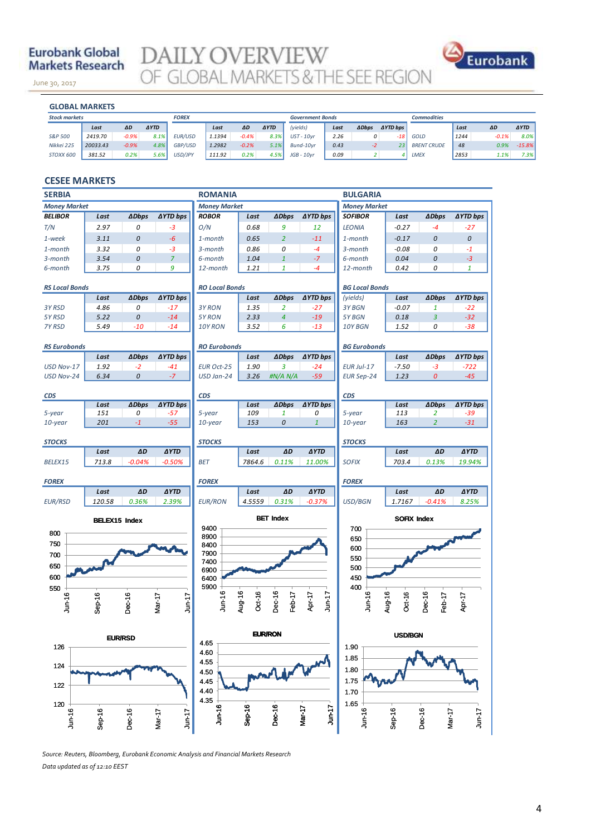### **Eurobank Global Markets Research**

June 30, 2017

**DAILY OVERVIEW**<br>OF GLOBAL MARKETS & THE SEE REGION



November 14, 2013

| <b>Stock markets</b><br><b>FOREX</b><br><b>Commodities</b><br><b>Government Bonds</b>                                                            |                  |
|--------------------------------------------------------------------------------------------------------------------------------------------------|------------------|
|                                                                                                                                                  |                  |
| (yields)<br><b>AYTD</b><br><b>AYTD bps</b><br><b>AYTD</b><br><b>ADbps</b><br>ΔD<br>ΔD<br>Last<br>ΔD<br>Last<br>Last<br>Last                      | <b>AYTD</b>      |
| $-0.9%$<br>8.1%<br>EUR/USD<br>2419.70<br>1.1394<br>$-0.4%$<br>2.26<br>S&P 500<br>8.3%<br>$UST - 10vr$<br>1244<br>0<br>GOLD<br>-18                | 8.0% <br>$-0.1%$ |
| Nikkei 225<br>GBP/USD<br>$-0.9%$<br>1.2982<br>4.8%<br>$-0.2%$<br>Bund-10vr<br>0.43<br><b>BRENT CRUDE</b><br>20033.43<br>5.1%<br>48<br>23<br>$-2$ | 0.9%<br>$-15.8%$ |
| 0.2%<br>0.2%<br>0.09<br>5.6%<br>USD/JPY<br>2853<br>111.92<br>STOXX 600<br>381.52<br>4.5%<br>JGB - 10vr<br><b>LMEX</b>                            | 1.1%<br>7.3%     |

### **CESEE MARKETS**

| <b>Money Market</b><br><b>Money Market</b><br><b>Money Market</b><br><b>ADbps</b><br>∆YTD bps<br>Last<br><b>ADbps</b><br><b>AYTD bps</b><br><b>ADbps</b><br><b>AYTD bps</b><br><b>BELIBOR</b><br>Last<br><b>ROBOR</b><br>SOFIBOR<br>Last<br>2.97<br>0.68<br>T/N<br>0<br>$-3$<br>O/N<br>9<br><b>LEONIA</b><br>$-0.27$<br>$-4$<br>$-27$<br>12<br>$-6$<br>0<br>$\overline{2}$<br>$\boldsymbol{o}$<br>0<br>1-week<br>3.11<br>1-month<br>0.65<br>$-11$<br>1-month<br>$-0.17$<br>3.32<br>0<br>$-3$<br>0.86<br>0<br>$-0.08$<br>0<br>3-month<br>$-4$<br>$3$ -month<br>$-1$<br>1-month<br>0<br>$\overline{7}$<br>1.04<br>$\mathbf{1}$<br>$-7$<br>0<br>$-3$<br>3-month<br>3.54<br>6-month<br>6-month<br>0.04<br>9<br>1.21<br>3.75<br>0<br>$\mathbf{1}$<br>$-4$<br>0.42<br>0<br>$\mathbf{1}$<br>6-month<br>12-month<br>12-month<br><b>RS Local Bonds</b><br><b>RO Local Bonds</b><br><b>BG Local Bonds</b><br><b>ADbps</b><br><b>ADbps</b><br><b>AYTD bps</b><br><b>ADbps</b><br><b>∆YTD bps</b><br>Last<br><b>∆YTD bps</b><br>Last<br>(yields)<br>Last<br>$-0.07$<br>3Y RSD<br>4.86<br>0<br>$-17$<br>3Y RON<br>1.35<br>2<br>$-27$<br>3Y BGN<br>$\mathbf{1}$<br>$-22$<br>5Y RSD<br>5.22<br>0<br>$-14$<br>5Y RON<br>2.33<br>4<br>$-19$<br>5Y BGN<br>3<br>$-32$<br>0.18<br>5.49<br>$-10$<br>$-14$<br>10Y RON<br>3.52<br>6<br>$-13$<br>10Y BGN<br>0<br>$-38$<br>7Y RSD<br>1.52<br><b>RS Eurobonds</b><br><b>RO Eurobonds</b><br><b>BG Eurobonds</b><br><b>ADbps</b><br><b>∆YTD bps</b><br><b>ADbps</b><br><b>∆YTD bps</b><br><b>ADbps</b><br><b>∆YTD bps</b><br>Last<br>Last<br>Last<br>1.90<br>USD Nov-17<br>1.92<br>$-2$<br><b>EUR Oct-25</b><br>3<br>$-24$<br>EUR Jul-17<br>$-7.50$<br>$-3$<br>$-722$<br>$-41$<br>$\boldsymbol{o}$<br>$-7$<br>$-59$<br>$-45$<br>6.34<br>USD Jan-24<br>3.26<br>#N/A N/A<br>1.23<br>$\boldsymbol{o}$<br>USD Nov-24<br><b>EUR Sep-24</b><br><b>CDS</b><br><b>CDS</b><br><b>CDS</b><br>Last<br><b>ADbps</b><br>∆YTD bps<br>Last<br><b>ADbps</b><br>∆YTD bps<br>Last<br><b>ADbps</b><br>∆YTD bps<br>151<br>0<br>$-57$<br>109<br>5-year<br>113<br>$\overline{2}$<br>$-39$<br>5-year<br>5-year<br>1<br>0<br>$\mathbf{1}$<br>201<br>$-1$<br>$-55$<br>153<br>0<br>163<br>$\overline{2}$<br>$-31$<br>10-year<br>$10$ -year<br>10-year<br><b>STOCKS</b><br><b>STOCKS</b><br>ΔD<br><b>AYTD</b><br>ΔD<br><b>AYTD</b><br>ΔD<br><b>AYTD</b><br>Last<br>Last<br>Last<br>$-0.04%$<br>7864.6<br>713.8<br>$-0.50%$<br><b>BET</b><br>0.11%<br>11.00%<br><b>SOFIX</b><br>703.4<br>0.13%<br>19.94%<br>BELEX15<br><b>FOREX</b><br><b>FOREX</b><br><b>FOREX</b><br>ΔD<br><b>AYTD</b><br>ΔD<br><b>AYTD</b><br><b>AYTD</b><br>Last<br>Last<br>Last<br>ΔD<br><b>EUR/RSD</b><br>120.58<br>0.36%<br>2.39%<br><b>EUR/RON</b><br>4.5559<br>0.31%<br>$-0.37%$<br>USD/BGN<br>1.7167<br>$-0.41%$<br>8.25%<br><b>BET Index</b><br><b>SOFIX Index</b><br><b>BELEX15 Index</b><br>9400<br>700<br>800<br>8900<br>650<br>750<br>8400 |
|--------------------------------------------------------------------------------------------------------------------------------------------------------------------------------------------------------------------------------------------------------------------------------------------------------------------------------------------------------------------------------------------------------------------------------------------------------------------------------------------------------------------------------------------------------------------------------------------------------------------------------------------------------------------------------------------------------------------------------------------------------------------------------------------------------------------------------------------------------------------------------------------------------------------------------------------------------------------------------------------------------------------------------------------------------------------------------------------------------------------------------------------------------------------------------------------------------------------------------------------------------------------------------------------------------------------------------------------------------------------------------------------------------------------------------------------------------------------------------------------------------------------------------------------------------------------------------------------------------------------------------------------------------------------------------------------------------------------------------------------------------------------------------------------------------------------------------------------------------------------------------------------------------------------------------------------------------------------------------------------------------------------------------------------------------------------------------------------------------------------------------------------------------------------------------------------------------------------------------------------------------------------------------------------------------------------------------------------------------------------------------------------------------------------------------------------------------------------------------------------------------------------------------------------------------------------------------------------------------------------------------------------------------------------------------------------------------------------------------------------------------------------------------------------------------------------------------------------------------------------------------------------------------------------|
|                                                                                                                                                                                                                                                                                                                                                                                                                                                                                                                                                                                                                                                                                                                                                                                                                                                                                                                                                                                                                                                                                                                                                                                                                                                                                                                                                                                                                                                                                                                                                                                                                                                                                                                                                                                                                                                                                                                                                                                                                                                                                                                                                                                                                                                                                                                                                                                                                                                                                                                                                                                                                                                                                                                                                                                                                                                                                                                    |
|                                                                                                                                                                                                                                                                                                                                                                                                                                                                                                                                                                                                                                                                                                                                                                                                                                                                                                                                                                                                                                                                                                                                                                                                                                                                                                                                                                                                                                                                                                                                                                                                                                                                                                                                                                                                                                                                                                                                                                                                                                                                                                                                                                                                                                                                                                                                                                                                                                                                                                                                                                                                                                                                                                                                                                                                                                                                                                                    |
| <b>STOCKS</b>                                                                                                                                                                                                                                                                                                                                                                                                                                                                                                                                                                                                                                                                                                                                                                                                                                                                                                                                                                                                                                                                                                                                                                                                                                                                                                                                                                                                                                                                                                                                                                                                                                                                                                                                                                                                                                                                                                                                                                                                                                                                                                                                                                                                                                                                                                                                                                                                                                                                                                                                                                                                                                                                                                                                                                                                                                                                                                      |
|                                                                                                                                                                                                                                                                                                                                                                                                                                                                                                                                                                                                                                                                                                                                                                                                                                                                                                                                                                                                                                                                                                                                                                                                                                                                                                                                                                                                                                                                                                                                                                                                                                                                                                                                                                                                                                                                                                                                                                                                                                                                                                                                                                                                                                                                                                                                                                                                                                                                                                                                                                                                                                                                                                                                                                                                                                                                                                                    |
|                                                                                                                                                                                                                                                                                                                                                                                                                                                                                                                                                                                                                                                                                                                                                                                                                                                                                                                                                                                                                                                                                                                                                                                                                                                                                                                                                                                                                                                                                                                                                                                                                                                                                                                                                                                                                                                                                                                                                                                                                                                                                                                                                                                                                                                                                                                                                                                                                                                                                                                                                                                                                                                                                                                                                                                                                                                                                                                    |
|                                                                                                                                                                                                                                                                                                                                                                                                                                                                                                                                                                                                                                                                                                                                                                                                                                                                                                                                                                                                                                                                                                                                                                                                                                                                                                                                                                                                                                                                                                                                                                                                                                                                                                                                                                                                                                                                                                                                                                                                                                                                                                                                                                                                                                                                                                                                                                                                                                                                                                                                                                                                                                                                                                                                                                                                                                                                                                                    |
|                                                                                                                                                                                                                                                                                                                                                                                                                                                                                                                                                                                                                                                                                                                                                                                                                                                                                                                                                                                                                                                                                                                                                                                                                                                                                                                                                                                                                                                                                                                                                                                                                                                                                                                                                                                                                                                                                                                                                                                                                                                                                                                                                                                                                                                                                                                                                                                                                                                                                                                                                                                                                                                                                                                                                                                                                                                                                                                    |
|                                                                                                                                                                                                                                                                                                                                                                                                                                                                                                                                                                                                                                                                                                                                                                                                                                                                                                                                                                                                                                                                                                                                                                                                                                                                                                                                                                                                                                                                                                                                                                                                                                                                                                                                                                                                                                                                                                                                                                                                                                                                                                                                                                                                                                                                                                                                                                                                                                                                                                                                                                                                                                                                                                                                                                                                                                                                                                                    |
|                                                                                                                                                                                                                                                                                                                                                                                                                                                                                                                                                                                                                                                                                                                                                                                                                                                                                                                                                                                                                                                                                                                                                                                                                                                                                                                                                                                                                                                                                                                                                                                                                                                                                                                                                                                                                                                                                                                                                                                                                                                                                                                                                                                                                                                                                                                                                                                                                                                                                                                                                                                                                                                                                                                                                                                                                                                                                                                    |
|                                                                                                                                                                                                                                                                                                                                                                                                                                                                                                                                                                                                                                                                                                                                                                                                                                                                                                                                                                                                                                                                                                                                                                                                                                                                                                                                                                                                                                                                                                                                                                                                                                                                                                                                                                                                                                                                                                                                                                                                                                                                                                                                                                                                                                                                                                                                                                                                                                                                                                                                                                                                                                                                                                                                                                                                                                                                                                                    |
|                                                                                                                                                                                                                                                                                                                                                                                                                                                                                                                                                                                                                                                                                                                                                                                                                                                                                                                                                                                                                                                                                                                                                                                                                                                                                                                                                                                                                                                                                                                                                                                                                                                                                                                                                                                                                                                                                                                                                                                                                                                                                                                                                                                                                                                                                                                                                                                                                                                                                                                                                                                                                                                                                                                                                                                                                                                                                                                    |
|                                                                                                                                                                                                                                                                                                                                                                                                                                                                                                                                                                                                                                                                                                                                                                                                                                                                                                                                                                                                                                                                                                                                                                                                                                                                                                                                                                                                                                                                                                                                                                                                                                                                                                                                                                                                                                                                                                                                                                                                                                                                                                                                                                                                                                                                                                                                                                                                                                                                                                                                                                                                                                                                                                                                                                                                                                                                                                                    |
|                                                                                                                                                                                                                                                                                                                                                                                                                                                                                                                                                                                                                                                                                                                                                                                                                                                                                                                                                                                                                                                                                                                                                                                                                                                                                                                                                                                                                                                                                                                                                                                                                                                                                                                                                                                                                                                                                                                                                                                                                                                                                                                                                                                                                                                                                                                                                                                                                                                                                                                                                                                                                                                                                                                                                                                                                                                                                                                    |
|                                                                                                                                                                                                                                                                                                                                                                                                                                                                                                                                                                                                                                                                                                                                                                                                                                                                                                                                                                                                                                                                                                                                                                                                                                                                                                                                                                                                                                                                                                                                                                                                                                                                                                                                                                                                                                                                                                                                                                                                                                                                                                                                                                                                                                                                                                                                                                                                                                                                                                                                                                                                                                                                                                                                                                                                                                                                                                                    |
|                                                                                                                                                                                                                                                                                                                                                                                                                                                                                                                                                                                                                                                                                                                                                                                                                                                                                                                                                                                                                                                                                                                                                                                                                                                                                                                                                                                                                                                                                                                                                                                                                                                                                                                                                                                                                                                                                                                                                                                                                                                                                                                                                                                                                                                                                                                                                                                                                                                                                                                                                                                                                                                                                                                                                                                                                                                                                                                    |
|                                                                                                                                                                                                                                                                                                                                                                                                                                                                                                                                                                                                                                                                                                                                                                                                                                                                                                                                                                                                                                                                                                                                                                                                                                                                                                                                                                                                                                                                                                                                                                                                                                                                                                                                                                                                                                                                                                                                                                                                                                                                                                                                                                                                                                                                                                                                                                                                                                                                                                                                                                                                                                                                                                                                                                                                                                                                                                                    |
|                                                                                                                                                                                                                                                                                                                                                                                                                                                                                                                                                                                                                                                                                                                                                                                                                                                                                                                                                                                                                                                                                                                                                                                                                                                                                                                                                                                                                                                                                                                                                                                                                                                                                                                                                                                                                                                                                                                                                                                                                                                                                                                                                                                                                                                                                                                                                                                                                                                                                                                                                                                                                                                                                                                                                                                                                                                                                                                    |
|                                                                                                                                                                                                                                                                                                                                                                                                                                                                                                                                                                                                                                                                                                                                                                                                                                                                                                                                                                                                                                                                                                                                                                                                                                                                                                                                                                                                                                                                                                                                                                                                                                                                                                                                                                                                                                                                                                                                                                                                                                                                                                                                                                                                                                                                                                                                                                                                                                                                                                                                                                                                                                                                                                                                                                                                                                                                                                                    |
|                                                                                                                                                                                                                                                                                                                                                                                                                                                                                                                                                                                                                                                                                                                                                                                                                                                                                                                                                                                                                                                                                                                                                                                                                                                                                                                                                                                                                                                                                                                                                                                                                                                                                                                                                                                                                                                                                                                                                                                                                                                                                                                                                                                                                                                                                                                                                                                                                                                                                                                                                                                                                                                                                                                                                                                                                                                                                                                    |
|                                                                                                                                                                                                                                                                                                                                                                                                                                                                                                                                                                                                                                                                                                                                                                                                                                                                                                                                                                                                                                                                                                                                                                                                                                                                                                                                                                                                                                                                                                                                                                                                                                                                                                                                                                                                                                                                                                                                                                                                                                                                                                                                                                                                                                                                                                                                                                                                                                                                                                                                                                                                                                                                                                                                                                                                                                                                                                                    |
|                                                                                                                                                                                                                                                                                                                                                                                                                                                                                                                                                                                                                                                                                                                                                                                                                                                                                                                                                                                                                                                                                                                                                                                                                                                                                                                                                                                                                                                                                                                                                                                                                                                                                                                                                                                                                                                                                                                                                                                                                                                                                                                                                                                                                                                                                                                                                                                                                                                                                                                                                                                                                                                                                                                                                                                                                                                                                                                    |
|                                                                                                                                                                                                                                                                                                                                                                                                                                                                                                                                                                                                                                                                                                                                                                                                                                                                                                                                                                                                                                                                                                                                                                                                                                                                                                                                                                                                                                                                                                                                                                                                                                                                                                                                                                                                                                                                                                                                                                                                                                                                                                                                                                                                                                                                                                                                                                                                                                                                                                                                                                                                                                                                                                                                                                                                                                                                                                                    |
|                                                                                                                                                                                                                                                                                                                                                                                                                                                                                                                                                                                                                                                                                                                                                                                                                                                                                                                                                                                                                                                                                                                                                                                                                                                                                                                                                                                                                                                                                                                                                                                                                                                                                                                                                                                                                                                                                                                                                                                                                                                                                                                                                                                                                                                                                                                                                                                                                                                                                                                                                                                                                                                                                                                                                                                                                                                                                                                    |
|                                                                                                                                                                                                                                                                                                                                                                                                                                                                                                                                                                                                                                                                                                                                                                                                                                                                                                                                                                                                                                                                                                                                                                                                                                                                                                                                                                                                                                                                                                                                                                                                                                                                                                                                                                                                                                                                                                                                                                                                                                                                                                                                                                                                                                                                                                                                                                                                                                                                                                                                                                                                                                                                                                                                                                                                                                                                                                                    |
|                                                                                                                                                                                                                                                                                                                                                                                                                                                                                                                                                                                                                                                                                                                                                                                                                                                                                                                                                                                                                                                                                                                                                                                                                                                                                                                                                                                                                                                                                                                                                                                                                                                                                                                                                                                                                                                                                                                                                                                                                                                                                                                                                                                                                                                                                                                                                                                                                                                                                                                                                                                                                                                                                                                                                                                                                                                                                                                    |
|                                                                                                                                                                                                                                                                                                                                                                                                                                                                                                                                                                                                                                                                                                                                                                                                                                                                                                                                                                                                                                                                                                                                                                                                                                                                                                                                                                                                                                                                                                                                                                                                                                                                                                                                                                                                                                                                                                                                                                                                                                                                                                                                                                                                                                                                                                                                                                                                                                                                                                                                                                                                                                                                                                                                                                                                                                                                                                                    |
|                                                                                                                                                                                                                                                                                                                                                                                                                                                                                                                                                                                                                                                                                                                                                                                                                                                                                                                                                                                                                                                                                                                                                                                                                                                                                                                                                                                                                                                                                                                                                                                                                                                                                                                                                                                                                                                                                                                                                                                                                                                                                                                                                                                                                                                                                                                                                                                                                                                                                                                                                                                                                                                                                                                                                                                                                                                                                                                    |
|                                                                                                                                                                                                                                                                                                                                                                                                                                                                                                                                                                                                                                                                                                                                                                                                                                                                                                                                                                                                                                                                                                                                                                                                                                                                                                                                                                                                                                                                                                                                                                                                                                                                                                                                                                                                                                                                                                                                                                                                                                                                                                                                                                                                                                                                                                                                                                                                                                                                                                                                                                                                                                                                                                                                                                                                                                                                                                                    |
| 600                                                                                                                                                                                                                                                                                                                                                                                                                                                                                                                                                                                                                                                                                                                                                                                                                                                                                                                                                                                                                                                                                                                                                                                                                                                                                                                                                                                                                                                                                                                                                                                                                                                                                                                                                                                                                                                                                                                                                                                                                                                                                                                                                                                                                                                                                                                                                                                                                                                                                                                                                                                                                                                                                                                                                                                                                                                                                                                |
| 7900<br>700<br>550                                                                                                                                                                                                                                                                                                                                                                                                                                                                                                                                                                                                                                                                                                                                                                                                                                                                                                                                                                                                                                                                                                                                                                                                                                                                                                                                                                                                                                                                                                                                                                                                                                                                                                                                                                                                                                                                                                                                                                                                                                                                                                                                                                                                                                                                                                                                                                                                                                                                                                                                                                                                                                                                                                                                                                                                                                                                                                 |
| 7400<br>650<br>500<br>6900                                                                                                                                                                                                                                                                                                                                                                                                                                                                                                                                                                                                                                                                                                                                                                                                                                                                                                                                                                                                                                                                                                                                                                                                                                                                                                                                                                                                                                                                                                                                                                                                                                                                                                                                                                                                                                                                                                                                                                                                                                                                                                                                                                                                                                                                                                                                                                                                                                                                                                                                                                                                                                                                                                                                                                                                                                                                                         |
| 600<br>450<br>6400                                                                                                                                                                                                                                                                                                                                                                                                                                                                                                                                                                                                                                                                                                                                                                                                                                                                                                                                                                                                                                                                                                                                                                                                                                                                                                                                                                                                                                                                                                                                                                                                                                                                                                                                                                                                                                                                                                                                                                                                                                                                                                                                                                                                                                                                                                                                                                                                                                                                                                                                                                                                                                                                                                                                                                                                                                                                                                 |
| 5900<br>400<br>550                                                                                                                                                                                                                                                                                                                                                                                                                                                                                                                                                                                                                                                                                                                                                                                                                                                                                                                                                                                                                                                                                                                                                                                                                                                                                                                                                                                                                                                                                                                                                                                                                                                                                                                                                                                                                                                                                                                                                                                                                                                                                                                                                                                                                                                                                                                                                                                                                                                                                                                                                                                                                                                                                                                                                                                                                                                                                                 |
| Aug-16<br>$J$ un-16<br>Dec-16<br>Oct-16<br>Aug-16<br>Dec-16<br>$J$ un-17<br>$J$ un-16<br>Oct-16<br>Jun-16<br>Apr-17<br>Feb-17<br>Dec-16<br>Feb-17<br>Apr-17<br>Mar-17<br>$J$ un-17                                                                                                                                                                                                                                                                                                                                                                                                                                                                                                                                                                                                                                                                                                                                                                                                                                                                                                                                                                                                                                                                                                                                                                                                                                                                                                                                                                                                                                                                                                                                                                                                                                                                                                                                                                                                                                                                                                                                                                                                                                                                                                                                                                                                                                                                                                                                                                                                                                                                                                                                                                                                                                                                                                                                 |
| $Sep-16$                                                                                                                                                                                                                                                                                                                                                                                                                                                                                                                                                                                                                                                                                                                                                                                                                                                                                                                                                                                                                                                                                                                                                                                                                                                                                                                                                                                                                                                                                                                                                                                                                                                                                                                                                                                                                                                                                                                                                                                                                                                                                                                                                                                                                                                                                                                                                                                                                                                                                                                                                                                                                                                                                                                                                                                                                                                                                                           |
| <b>EUR/RON</b><br><b>USD/BGN</b><br><b>EUR/RSD</b>                                                                                                                                                                                                                                                                                                                                                                                                                                                                                                                                                                                                                                                                                                                                                                                                                                                                                                                                                                                                                                                                                                                                                                                                                                                                                                                                                                                                                                                                                                                                                                                                                                                                                                                                                                                                                                                                                                                                                                                                                                                                                                                                                                                                                                                                                                                                                                                                                                                                                                                                                                                                                                                                                                                                                                                                                                                                 |
| 4.65<br>1.90<br>126                                                                                                                                                                                                                                                                                                                                                                                                                                                                                                                                                                                                                                                                                                                                                                                                                                                                                                                                                                                                                                                                                                                                                                                                                                                                                                                                                                                                                                                                                                                                                                                                                                                                                                                                                                                                                                                                                                                                                                                                                                                                                                                                                                                                                                                                                                                                                                                                                                                                                                                                                                                                                                                                                                                                                                                                                                                                                                |
| 4.60<br>1.85                                                                                                                                                                                                                                                                                                                                                                                                                                                                                                                                                                                                                                                                                                                                                                                                                                                                                                                                                                                                                                                                                                                                                                                                                                                                                                                                                                                                                                                                                                                                                                                                                                                                                                                                                                                                                                                                                                                                                                                                                                                                                                                                                                                                                                                                                                                                                                                                                                                                                                                                                                                                                                                                                                                                                                                                                                                                                                       |
| 4.55<br>124<br>1.80<br>4.50                                                                                                                                                                                                                                                                                                                                                                                                                                                                                                                                                                                                                                                                                                                                                                                                                                                                                                                                                                                                                                                                                                                                                                                                                                                                                                                                                                                                                                                                                                                                                                                                                                                                                                                                                                                                                                                                                                                                                                                                                                                                                                                                                                                                                                                                                                                                                                                                                                                                                                                                                                                                                                                                                                                                                                                                                                                                                        |
| 1.75<br>4.45                                                                                                                                                                                                                                                                                                                                                                                                                                                                                                                                                                                                                                                                                                                                                                                                                                                                                                                                                                                                                                                                                                                                                                                                                                                                                                                                                                                                                                                                                                                                                                                                                                                                                                                                                                                                                                                                                                                                                                                                                                                                                                                                                                                                                                                                                                                                                                                                                                                                                                                                                                                                                                                                                                                                                                                                                                                                                                       |
| 122<br>4.40<br>1.70                                                                                                                                                                                                                                                                                                                                                                                                                                                                                                                                                                                                                                                                                                                                                                                                                                                                                                                                                                                                                                                                                                                                                                                                                                                                                                                                                                                                                                                                                                                                                                                                                                                                                                                                                                                                                                                                                                                                                                                                                                                                                                                                                                                                                                                                                                                                                                                                                                                                                                                                                                                                                                                                                                                                                                                                                                                                                                |
| 4.35<br>1.65<br>120                                                                                                                                                                                                                                                                                                                                                                                                                                                                                                                                                                                                                                                                                                                                                                                                                                                                                                                                                                                                                                                                                                                                                                                                                                                                                                                                                                                                                                                                                                                                                                                                                                                                                                                                                                                                                                                                                                                                                                                                                                                                                                                                                                                                                                                                                                                                                                                                                                                                                                                                                                                                                                                                                                                                                                                                                                                                                                |
| $J$ un-16<br>$Sep-16$<br>Dec-16<br>$J$ un-17<br>Mar-17                                                                                                                                                                                                                                                                                                                                                                                                                                                                                                                                                                                                                                                                                                                                                                                                                                                                                                                                                                                                                                                                                                                                                                                                                                                                                                                                                                                                                                                                                                                                                                                                                                                                                                                                                                                                                                                                                                                                                                                                                                                                                                                                                                                                                                                                                                                                                                                                                                                                                                                                                                                                                                                                                                                                                                                                                                                             |
| $J$ un-16<br>$J$ un-16<br>$Sep-16$<br>Dec-16<br>$J$ un-17<br>Dec-16<br>$Sep-16$<br>Mar-17<br>$J$ un-17<br>Mar-17                                                                                                                                                                                                                                                                                                                                                                                                                                                                                                                                                                                                                                                                                                                                                                                                                                                                                                                                                                                                                                                                                                                                                                                                                                                                                                                                                                                                                                                                                                                                                                                                                                                                                                                                                                                                                                                                                                                                                                                                                                                                                                                                                                                                                                                                                                                                                                                                                                                                                                                                                                                                                                                                                                                                                                                                   |

*Source: Reuters, Bloomberg, Eurobank Economic Analysis and Financial Markets Research Data updated as of 12:10 EEST*